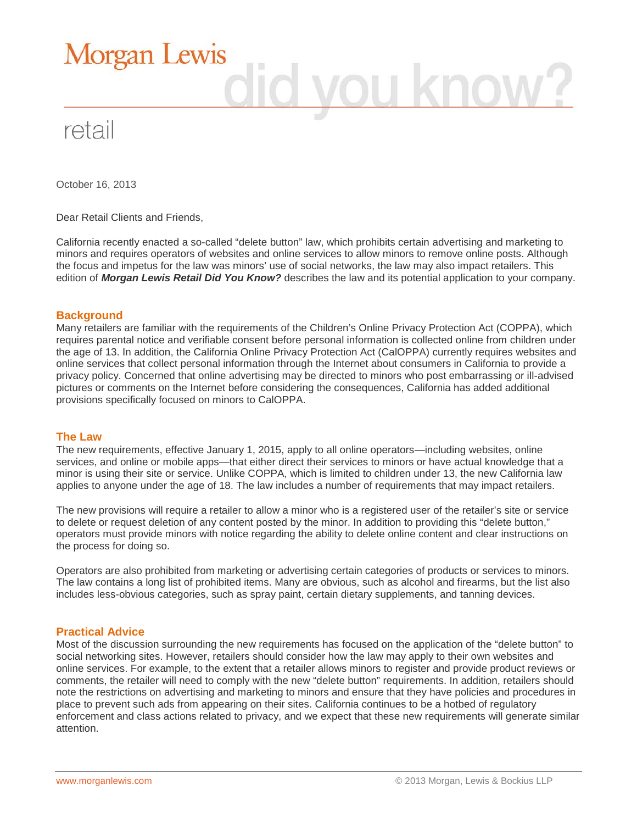

October 16, 2013

Dear Retail Clients and Friends,

California recently enacted a so-called "delete button" law, which prohibits certain advertising and marketing to minors and requires operators of websites and online services to allow minors to remove online posts. Although the focus and impetus for the law was minors' use of social networks, the law may also impact retailers. This edition of *Morgan Lewis Retail Did You Know?* describes the law and its potential application to your company.

### **Background**

Many retailers are familiar with the requirements of the Children's Online Privacy Protection Act (COPPA), which requires parental notice and verifiable consent before personal information is collected online from children under the age of 13. In addition, the California Online Privacy Protection Act (CalOPPA) currently requires websites and online services that collect personal information through the Internet about consumers in California to provide a privacy policy. Concerned that online advertising may be directed to minors who post embarrassing or ill-advised pictures or comments on the Internet before considering the consequences, California has added additional provisions specifically focused on minors to CalOPPA.

#### **The Law**

The new requirements, effective January 1, 2015, apply to all online operators—including websites, online services, and online or mobile apps—that either direct their services to minors or have actual knowledge that a minor is using their site or service. Unlike COPPA, which is limited to children under 13, the new California law applies to anyone under the age of 18. The law includes a number of requirements that may impact retailers.

The new provisions will require a retailer to allow a minor who is a registered user of the retailer's site or service to delete or request deletion of any content posted by the minor. In addition to providing this "delete button," operators must provide minors with notice regarding the ability to delete online content and clear instructions on the process for doing so.

Operators are also prohibited from marketing or advertising certain categories of products or services to minors. The law contains a long list of prohibited items. Many are obvious, such as alcohol and firearms, but the list also includes less-obvious categories, such as spray paint, certain dietary supplements, and tanning devices.

## **Practical Advice**

Most of the discussion surrounding the new requirements has focused on the application of the "delete button" to social networking sites. However, retailers should consider how the law may apply to their own websites and online services. For example, to the extent that a retailer allows minors to register and provide product reviews or comments, the retailer will need to comply with the new "delete button" requirements. In addition, retailers should note the restrictions on advertising and marketing to minors and ensure that they have policies and procedures in place to prevent such ads from appearing on their sites. California continues to be a hotbed of regulatory enforcement and class actions related to privacy, and we expect that these new requirements will generate similar attention.